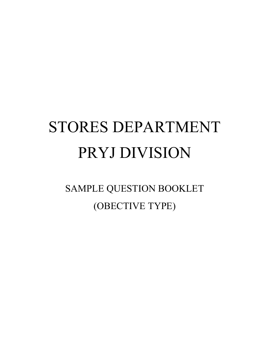# STORES DEPARTMENT PRYJ DIVISION

SAMPLE QUESTION BOOKLET (OBECTIVE TYPE)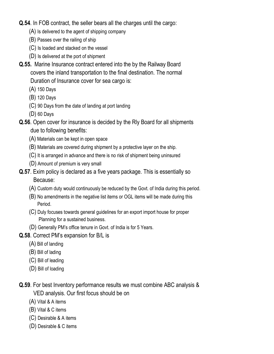- Q.54. In FOB contract, the seller bears all the charges until the cargo:
	- (A) Is delivered to the agent of shipping company
	- (B) Passes over the railing of ship
	- (C) Is loaded and stacked on the vessel
	- (D) Is delivered at the port of shipment
- Q.55. Marine Insurance contract entered into the by the Railway Board covers the inland transportation to the final destination. The normal Duration of Insurance cover for sea cargo is:
	- (A) 150 Days
	- (B) 120 Days
	- (C) 90 Days from the date of landing at port landing
	- (D) 60 Days
- Q.56. Open cover for insurance is decided by the Rly Board for all shipments due to following benefits:
	- (A) Materials can be kept in open space
	- (B) Materials are covered during shipment by a protective layer on the ship.
	- (C) It is arranged in advance and there is no risk of shipment being uninsured
	- (D) Amount of premium is very small
- Q.57. Exim policy is declared as a five years package. This is essentially so Because:
	- (A) Custom duty would continuously be reduced by the Govt. of India during this period.
	- (B) No amendments in the negative list items or OGL items will be made during this Period.
	- (C) Duly focuses towards general guidelines for an export import house for proper Planning for a sustained business.
	- (D) Generally PM's office tenure in Govt. of India is for 5 Years.
- Q.58. Correct PM's expansion for B/L is
	- (A) Bill of landing
	- (B) Bill of lading
	- (C) Bill of leading
	- (D) Bill of loading
- Q.59. For best Inventory performance results we must combine ABC analysis & VED analysis. Our first focus should be on
	- (A) Vital & A items
	- (B) Vital & C items
	- (C) Desirable & A items
	- (D) Desirable & C items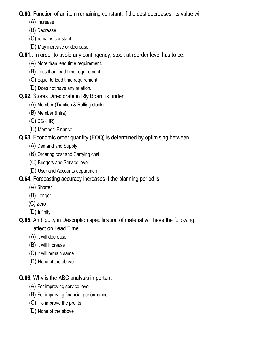Q.60. Function of an item remaining constant, if the cost decreases, its value will

- (A) Increase
- (B) Decrease
- (C) remains constant
- (D) May increase or decrease

Q.61.. In order to avoid any contingency, stock at reorder level has to be:

- (A) More than lead time requirement.
- (B) Less than lead time requirement.
- (C) Equal to lead time requirement.
- (D) Does not have any relation.
- Q.62. Stores Directorate in Rly Board is under.
	- (A) Member (Traction & Rolling stock)
	- (B) Member (Infra)
	- (C) DG (HR)
	- (D) Member (Finance)

Q.63. Economic order quantity (EOQ) is determined by optimising between

- (A) Demand and Supply
- (B) Ordering cost and Carrying cost
- (C) Budgets and Service level
- (D) User and Accounts department
- Q.64. Forecasting accuracy increases if the planning period is
	- (A) Shorter
	- (B) Longer
	- (C) Zero
	- (D) Infinity
- Q.65. Ambiguity in Description specification of material will have the following effect on Lead Time
	- (A) It will decrease
	- (B) It will increase
	- (C) It will remain same
	- (D) None of the above

Q.66. Why is the ABC analysis important

- (A) For improving service level
- (B) For improving financial performance
- (C) To improve the profits
- (D) None of the above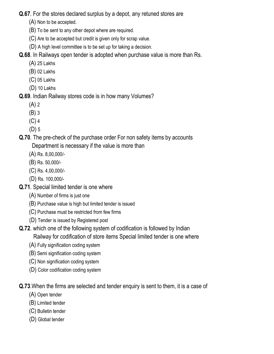Q.67. For the stores declared surplus by a depot, any retuned stores are

- (A) Non to be accepted.
- (B) To be sent to any other depot where are required.
- (C) Are to be accepted but credit is given only for scrap value.
- (D) A high level committee is to be set up for taking a decision.

Q.68. In Railways open tender is adopted when purchase value is more than Rs.

- (A) 25 Lakhs
- (B) 02 Lakhs
- (C) 05 Lakhs
- (D) 10 Lakhs

# Q.69. Indian Railway stores code is in how many Volumes?

- (A) 2
- (B) 3
- (C) 4
- (D) 5

# Q.70. The pre-check of the purchase order For non safety items by accounts

Department is necessary if the value is more than

- (A) Rs. 8,00,000/-
- (B) Rs. 50,000/-
- (C) Rs. 4,00,000/-
- (D) Rs. 100,000/-
- Q.71. Special limited tender is one where
	- (A) Number of firms is just one
	- (B) Purchase value is high but limited tender is issued
	- (C) Purchase must be restricted from few firms
	- (D) Tender is issued by Registered post
- Q.72. which one of the following system of codification is followed by Indian

Railway for codification of store items Special limited tender is one where

- (A) Fully signification coding system
- (B) Semi signification coding system
- (C) Non signification coding system
- (D) Color codification coding system

# Q.73.When the firms are selected and tender enquiry is sent to them, it is a case of

- (A) Open tender
- (B) Limited tender
- (C) Bulletin tender
- (D) Global tender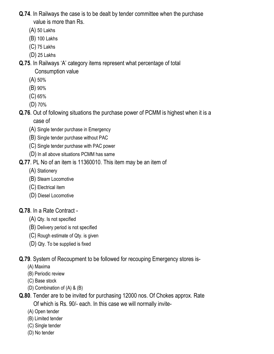- Q.74. In Railways the case is to be dealt by tender committee when the purchase value is more than Rs.
	- (A) 50 Lakhs
	- (B) 100 Lakhs
	- (C) 75 Lakhs
	- (D) 25 Lakhs

Q.75. In Railways 'A' category items represent what percentage of total

Consumption value

- (A) 50%
- (B) 90%
- (C) 65%
- (D) 70%

Q.76. Out of following situations the purchase power of PCMM is highest when it is a case of

- (A) Single tender purchase in Emergency
- (B) Single tender purchase without PAC
- (C) Single tender purchase with PAC power
- (D) In all above situations PCMM has same

Q.77. PL No of an item is 11360010. This item may be an item of

- (A) Stationery
- (B) Steam Locomotive
- (C) Electrical item
- (D) Diesel Locomotive

# Q.78. In a Rate Contract -

- (A) Qty. Is not specified
- (B) Delivery period is not specified
- (C) Rough estimate of Qty. is given
- (D) Qty. To be supplied is fixed

Q.79. System of Recoupment to be followed for recouping Emergency stores is-

- (A) Maxima
- (B) Periodic review
- (C) Base stock
- (D) Combination of (A) & (B)
- Q.80. Tender are to be invited for purchasing 12000 nos. Of Chokes approx. Rate Of which is Rs. 90/- each. In this case we will normally invite-
	- (A) Open tender
	- (B) Limited tender
	- (C) Single tender
	- (D) No tender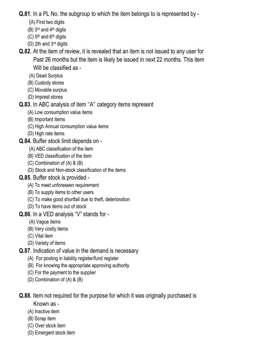Q.81. In a PL No. the subgroup to which the item belongs to is represented by -

- (A) First two digits
- $(B)$  3<sup>rd</sup> and 4<sup>th</sup> digits
- $(C)$  5<sup>th</sup> and 6<sup>th</sup> digits
- (D) 2th and 3rd digits
- Q.82. At the item of review, it is revealed that an item is not issued to any user for Past 26 months but the item is likely be issued in next 22 months. This item Will be classified as -
	- (A) Dead Surplus
	- (B) Custody stores
	- (C) Movable surplus
	- (D) Imprest stores

# Q.83. In ABC analysis of item ''A'' category items represent

- (A) Low consumption value items
- (B) Important items
- (C) High Annual consumption value items
- (D) High rate items
- Q.84. Buffer stock limit depends on
	- (A) ABC classification of the item
	- (B) VED classification of the item
	- (C) Combination of (A) & (B)
	- (D) Stock and Non-stock classification of the items

# Q.85. Buffer stock is provided -

- (A) To meet unforeseen requirement
- (B) To supply items to other users
- (C) To make good shortfall due to theft, deterioration
- (D) To have items out of stock
- Q.86. In a VED analysis "V" stands for
	- (A) Vague items
	- (B) Very costly items
	- (C) Vital item
	- (D) Variety of items
- Q.87. Indication of value in the demand is necessary
	- (A) For posting in liability register/fund register
	- (B) For knowing the appropriate approving authority
	- (C) For the payment to the supplier
	- (D) Combination of (A) & (B)

Q.88. Item not required for the purpose for which it was originally purchased is

- Known as -
- (A) Inactive item
- (B) Scrap item
- (C) Over stock item
- (D) Emergent stock item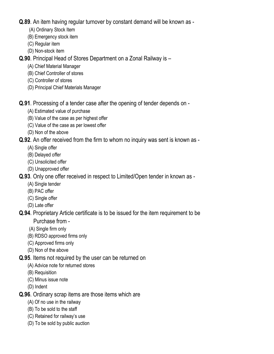### Q.89. An item having regular turnover by constant demand will be known as -

- (A) Ordinary Stock Item
- (B) Emergency stock item
- (C) Regular item
- (D) Non-stock item

# Q.90. Principal Head of Stores Department on a Zonal Railway is –

- (A) Chief Material Manager
- (B) Chief Controller of stores
- (C) Controller of stores
- (D) Principal Chief Materials Manager

# Q.91. Processing of a tender case after the opening of tender depends on -

- (A) Estimated value of purchase
- (B) Value of the case as per highest offer
- (C) Value of the case as per lowest offer
- (D) Non of the above

# Q.92. An offer received from the firm to whom no inquiry was sent is known as -

- (A) Single offer
- (B) Delayed offer
- (C) Unsolicited offer
- (D) Unapproved offer

# Q.93. Only one offer received in respect to Limited/Open tender in known as -

- (A) Single tender
- (B) PAC offer
- (C) Single offer
- (D) Late offer

#### Q.94. Proprietary Article certificate is to be issued for the item requirement to be Purchase from -

- (A) Single firm only
- (B) RDSO approved firms only
- (C) Approved firms only
- (D) Non of the above
- Q.95. Items not required by the user can be returned on
	- (A) Advice note for returned stores
	- (B) Requisition
	- (C) Minus issue note
	- (D) Indent

# Q.96. Ordinary scrap items are those items which are

- (A) Of no use in the railway
- (B) To be sold to the staff
- (C) Retained for railway's use
- (D) To be sold by public auction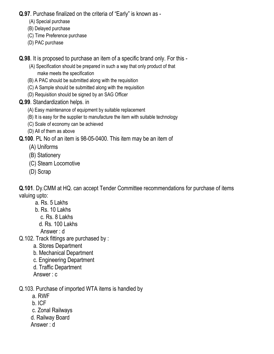Q.97. Purchase finalized on the criteria of "Early" is known as -

- (A) Special purchase
- (B) Delayed purchase
- (C) Time Preference purchase
- (D) PAC purchase

Q.98. It is proposed to purchase an item of a specific brand only. For this -

- (A) Specification should be prepared in such a way that only product of that make meets the specification
- (B) A PAC should be submitted along with the requisition
- (C) A Sample should be submitted along with the requisition
- (D) Requisition should be signed by an SAG Officer
- Q.99. Standardization helps. in
	- (A) Easy maintenance of equipment by suitable replacement
	- (B) It is easy for the supplier to manufacture the item with suitable technology
	- (C) Scale of economy can be achieved
	- (D) All of them as above

Q.100. PL No of an item is 98-05-0400. This item may be an item of

- (A) Uniforms
- (B) Stationery
- (C) Steam Locomotive
- (D) Scrap

Q.101. Dy.CMM at HQ. can accept Tender Committee recommendations for purchase of items valuing upto:

- a. Rs. 5 Lakhs
- b. Rs. 10 Lakhs
	- c. Rs. 8 Lakhs
	- d. Rs. 100 Lakhs

Answer : d

- Q.102. Track fittings are purchased by :
	- a. Stores Department
	- b. Mechanical Department
	- c. Engineering Department
	- d. Traffic Department
	- Answer : c
- Q.103. Purchase of imported WTA items is handled by
	- a. RWF
	- b. ICF
	- c. Zonal Railways
	- d. Railway Board
	- Answer : d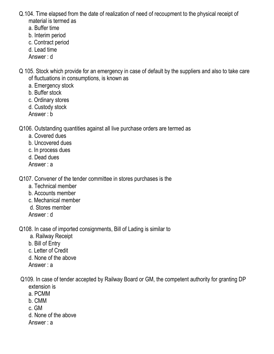- Q.104. Time elapsed from the date of realization of need of recoupment to the physical receipt of material is termed as
	- a. Buffer time
	- b. Interim period
	- c. Contract period
	- d. Lead time
	- Answer : d
- Q 105. Stock which provide for an emergency in case of default by the suppliers and also to take care of fluctuations in consumptions, is known as
	- a. Emergency stock
	- b. Buffer stock
	- c. Ordinary stores
	- d. Custody stock
	- Answer : b
- Q106. Outstanding quantities against all live purchase orders are termed as
	- a. Covered dues
	- b. Uncovered dues
	- c. In process dues
	- d. Dead dues
	- Answer : a
- Q107. Convener of the tender committee in stores purchases is the
	- a. Technical member
	- b. Accounts member
	- c. Mechanical member
	- d. Stores member
	- Answer : d
- Q108. In case of imported consignments, Bill of Lading is similar to
	- a. Railway Receipt
	- b. Bill of Entry
	- c. Letter of Credit
	- d. None of the above
	- Answer : a
- Q109. In case of tender accepted by Railway Board or GM, the competent authority for granting DP extension is
	- a. PCMM
	- b. CMM
	- c. GM
	- d. None of the above
	- Answer : a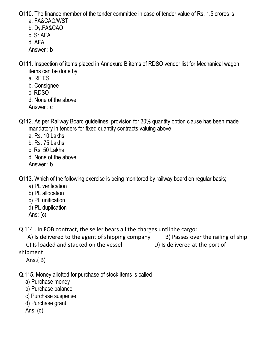Q110. The finance member of the tender committee in case of tender value of Rs. 1.5 crores is

- a. FA&CAO/WST
- b. Dy.FA&CAO
- c. Sr.AFA
- d. AFA
- Answer : b
- Q111. Inspection of items placed in Annexure B items of RDSO vendor list for Mechanical wagon items can be done by
	- a. RITES
	- b. Consignee
	- c. RDSO
	- d. None of the above
	- Answer : c
- Q112. As per Railway Board guidelines, provision for 30% quantity option clause has been made mandatory in tenders for fixed quantity contracts valuing above
	- a. Rs. 10 Lakhs
	- b. Rs. 75 Lakhs
	- c. Rs. 50 Lakhs
	- d. None of the above
	- Answer : b

Q113. Which of the following exercise is being monitored by railway board on regular basis;

- a) PL verification
- b) PL allocation
- c) PL unification
- d) PL duplication
- Ans: (c)

Q.114 . In FOB contract, the seller bears all the charges until the cargo:

A) Is delivered to the agent of shipping company B) Passes over the railing of ship C) Is loaded and stacked on the vessel D) Is delivered at the port of

shipment

Ans.( B)

- Q.115. Money allotted for purchase of stock items is called
	- a) Purchase money
	- b) Purchase balance
	- c) Purchase suspense
	- d) Purchase grant
	- Ans: (d)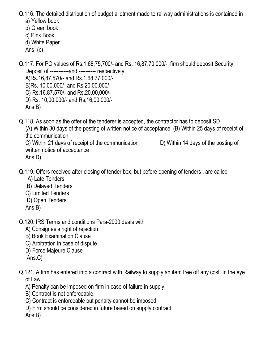Q.116. The detailed distribution of budget allotment made to railway administrations is contained in ;

- a) Yellow book
- b) Green book
- c) Pink Book d) White Paper
- Ans: (c)

Q.117. For PO values of Rs.1,68,75,700/- and Rs. 16,87,70,000/-, firm should deposit Security Deposit of -----------and ---------- respectively. A)Rs.16,87,570/- and Rs.1,68,77,000/- B)Rs. 10,00,000/- and Rs.20,00,000/- C) Rs.16,87,570/- and Rs.20,00,000/- D) Rs. 10,00,000/- and Rs.16,00,000/- Ans.B)

Q.118. As soon as the offer of the tenderer is accepted, the contractor has to deposit SD (A) Within 30 days of the posting of written notice of acceptance (B) Within 25 days of receipt of the communication C) Within 21 days of receipt of the communication D) Within 14 days of the posting of

written notice of acceptance Ans.D)

- Q.119. Offers received after closing of tender box, but before opening of tenders , are called
	- A) Late Tenders
	- B) Delayed Tenders
	- C) Limited Tenders
	- D) Open Tenders
	- Ans.B)
- Q.120. IRS Terms and conditions Para-2900 deals with
	- A) Consignee's right of rejection
	- B) Book Examination Clause
	- C) Arbitration in case of dispute
	- D) Force Majeure Clause
	- Ans.C)
- Q.121. A firm has entered into a contract with Railway to supply an item free off any cost. In the eye of Law
	- A) Penalty can be imposed on firm in case of failure in supply
	- B) Contract is not enforceable.
	- C) Contract is enforceable but penalty cannot be imposed
	- D) Firm should be considered in future based on supply contract

Ans.B)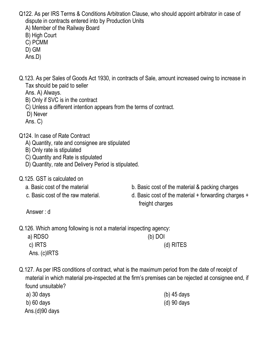- Q122. As per IRS Terms & Conditions Arbitration Clause, who should appoint arbitrator in case of dispute in contracts entered into by Production Units
	- A) Member of the Railway Board
	- B) High Court
	- C) PCMM
	- D) GM
	- Ans.D)
- Q.123. As per Sales of Goods Act 1930, in contracts of Sale, amount increased owing to increase in Tax should be paid to seller
	- Ans. A) Always.
	- B) Only if SVC is in the contract
	- C) Unless a different intention appears from the terms of contract.
	- D) Never
	- Ans. C)
- Q124. In case of Rate Contract
	- A) Quantity, rate and consignee are stipulated
	- B) Only rate is stipulated
	- C) Quantity and Rate is stipulated
	- D) Quantity, rate and Delivery Period is stipulated.
- Q.125. GST is calculated on
	-
	-
	- a. Basic cost of the material b. Basic cost of the material & packing charges
	- c. Basic cost of the raw material. d. Basic cost of the material + forwarding charges + freight charges

Answer : d

Q.126. Which among following is not a material inspecting agency:

| a) RDSO      | $(b)$ DOI |  |
|--------------|-----------|--|
| c) IRTS      | (d) RITES |  |
| Ans. (c)IRTS |           |  |

Q.127. As per IRS conditions of contract, what is the maximum period from the date of receipt of material in which material pre-inspected at the firm's premises can be rejected at consignee end, if found unsuitable?

| a) 30 days        | (b) $45$ days |
|-------------------|---------------|
| b) $60$ days      | $(d)$ 90 days |
| Ans. $(d)90$ days |               |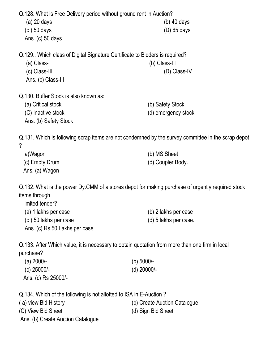| Q.128. What is Free Delivery period without ground rent in Auction?<br>(a) 20 days<br>$(c)$ 50 days<br>Ans. (c) $50$ days                              | $(b)$ 40 days<br>$(D)$ 65 days          |
|--------------------------------------------------------------------------------------------------------------------------------------------------------|-----------------------------------------|
| Q.129 Which class of Digital Signature Certificate to Bidders is required?<br>(a) Class-I<br>(c) Class-III<br>Ans. (c) Class-III                       | $(b)$ Class-I I<br>(D) Class-IV         |
| Q.130. Buffer Stock is also known as:<br>(a) Critical stock<br>(C) Inactive stock<br>Ans. (b) Safety Stock                                             | (b) Safety Stock<br>(d) emergency stock |
| Q.131. Which is following scrap items are not condemned by the survey committee in the scrap depot<br>?<br>a)Wagon<br>(c) Empty Drum<br>Ans. (a) Wagon | (b) MS Sheet<br>(d) Coupler Body.       |

Q.132. What is the power Dy.CMM of a stores depot for making purchase of urgently required stock items through

| limited tender?               |                       |
|-------------------------------|-----------------------|
| (a) 1 lakhs per case          | (b) 2 lakhs per case  |
| (c) 50 lakhs per case         | (d) 5 lakhs per case. |
| Ans. (c) Rs 50 Lakhs per case |                       |

Q.133. After Which value, it is necessary to obtain quotation from more than one firm in local purchase?

| (a) $2000/-$        | (b) 5000/-  |
|---------------------|-------------|
| (c) 25000/-         | (d) 20000/- |
| Ans. (c) Rs 25000/- |             |

Q.134. Which of the following is not allotted to ISA in E-Auction ?

( a) view Bid History (b) Create Auction Catalogue (C) View Bid Sheet (d) Sign Bid Sheet. Ans. (b) Create Auction Catalogue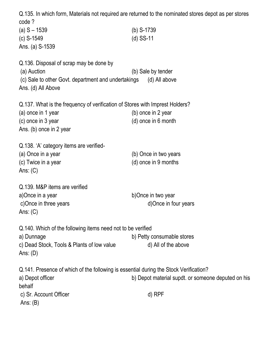Q.135. In which form, Materials not required are returned to the nominated stores depot as per stores code ? (a) S – 1539 (b) S-1739 (c) S-1549 (d) SS-11 Ans. (a) S-1539 Q.136. Disposal of scrap may be done by (a) Auction (b) Sale by tender (c) Sale to other Govt. department and undertakings (d) All above Ans. (d) All Above Q.137. What is the frequency of verification of Stores with Imprest Holders? (a) once in 1 year (b) once in 2 year (c) once in 3 year (d) once in 6 month Ans. (b) once in 2 year Q.138. 'A' category items are verified- (a) Once in a year (b) Once in two years (c) Twice in a year (d) once in 9 months Ans: (C) Q.139. M&P items are verified a)Once in a year b)Once in two year c)Once in three years d)Once in four years Ans: (C) Q.140. Which of the following items need not to be verified a) Dunnage b) Petty consumable stores c) Dead Stock, Tools & Plants of low value d) All of the above Ans: (D) Q.141. Presence of which of the following is essential during the Stock Verification? a) Depot officer **b**) Depot material supdt. or someone deputed on his behalf c) Sr. Account Officer d) RPF Ans: (B)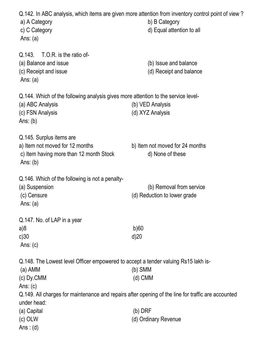| a) A Category<br>c) C Category<br>Ans: $(a)$                                                                                                                | Q.142. In ABC analysis, which items are given more attention from inventory control point of view?<br>b) B Category<br>d) Equal attention to all |
|-------------------------------------------------------------------------------------------------------------------------------------------------------------|--------------------------------------------------------------------------------------------------------------------------------------------------|
| Q.143. T.O.R. is the ratio of-<br>(a) Balance and issue<br>(c) Receipt and issue<br>Ans: $(a)$                                                              | (b) Issue and balance<br>(d) Receipt and balance                                                                                                 |
| Q.144. Which of the following analysis gives more attention to the service level-<br>(a) ABC Analysis<br>(c) FSN Analysis<br>Ans: $(b)$                     | (b) VED Analysis<br>(d) XYZ Analysis                                                                                                             |
| Q.145. Surplus items are<br>a) Item not moved for 12 months<br>c) Item having more than 12 month Stock<br>Ans: $(b)$                                        | b) Item not moved for 24 months<br>d) None of these                                                                                              |
| Q.146. Which of the following is not a penalty-<br>(a) Suspension<br>(c) Censure<br>Ans: $(a)$                                                              | (b) Removal from service<br>(d) Reduction to lower grade                                                                                         |
| Q.147. No. of LAP in a year<br>a)8<br>c)30<br>Ans: $(c)$                                                                                                    | b)60<br>d)20                                                                                                                                     |
| Q.148. The Lowest level Officer empowered to accept a tender valuing Rs15 lakh is-<br>(a) AMM<br>(c) Dy.CMM<br>Ans: $(c)$                                   | (b) SMM<br>(d) CMM                                                                                                                               |
| Q.149. All charges for maintenance and repairs after opening of the line for traffic are accounted<br>under head:<br>(a) Capital<br>$(c)$ OLW<br>Ans: $(d)$ | $(b)$ DRF<br>(d) Ordinary Revenue                                                                                                                |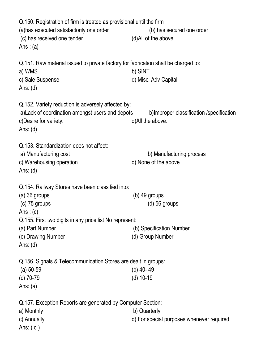Q.150. Registration of firm is treated as provisional until the firm (a)has executed satisfactorily one order (b) has secured one order (c) has received one tender (d)All of the above Ans :  $(a)$ Q.151. Raw material issued to private factory for fabrication shall be charged to: a) WMS b) SINT c) Sale Suspense d) Misc. Adv Capital. Ans: (d) Q.152. Variety reduction is adversely affected by: a)Lack of coordination amongst users and depots b)Improper classification /specification c)Desire for variety.  $d$ )All the above. Ans: (d) Q.153. Standardization does not affect: a) Manufacturing cost b) Manufacturing process c) Warehousing operation d) None of the above Ans: (d) Q.154. Railway Stores have been classified into: (a) 36 groups (b) 49 groups (c) 75 groups (d) 56 groups Ans :  $(c)$ Q.155. First two digits in any price list No represent: (a) Part Number (b) Specification Number (c) Drawing Number (d) Group Number Ans: (d) Q.156. Signals & Telecommunication Stores are dealt in groups: (a) 50-59 (b) 40- 49 (c) 70-79 (d) 10-19 Ans: (a) Q.157. Exception Reports are generated by Computer Section: a) Monthly b) Quarterly c) Annually d) For special purposes whenever required Ans: ( d )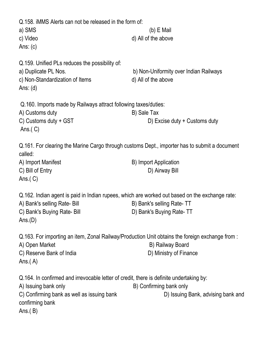| Q.158. iMMS Alerts can not be released in the form of:<br>a) SMS<br>c) Video<br>Ans: $(c)$                                                                                                     | (b) E Mail<br>d) All of the above                             |
|------------------------------------------------------------------------------------------------------------------------------------------------------------------------------------------------|---------------------------------------------------------------|
| Q.159. Unified PLs reduces the possibility of:<br>a) Duplicate PL Nos.<br>c) Non-Standardization of Items<br>Ans: $(d)$                                                                        | b) Non-Uniformity over Indian Railways<br>d) All of the above |
| Q.160. Imports made by Railways attract following taxes/duties:<br>A) Customs duty<br>C) Customs duty + GST<br>Ans. $(C)$                                                                      | B) Sale Tax<br>D) Excise duty + Customs duty                  |
| Q.161. For clearing the Marine Cargo through customs Dept., importer has to submit a document<br>called:<br>A) Import Manifest<br>C) Bill of Entry<br>Ans. $(C)$                               | B) Import Application<br>D) Airway Bill                       |
| Q.162. Indian agent is paid in Indian rupees, which are worked out based on the exchange rate:<br>A) Bank's selling Rate- Bill<br>C) Bank's Buying Rate- Bill<br>Ans.(D)                       | B) Bank's selling Rate-TT<br>D) Bank's Buying Rate-TT         |
| Q.163. For importing an item, Zonal Railway/Production Unit obtains the foreign exchange from :<br>A) Open Market<br>C) Reserve Bank of India<br>Ans. $(A)$                                    | B) Railway Board<br>D) Ministry of Finance                    |
| Q.164. In confirmed and irrevocable letter of credit, there is definite undertaking by:<br>A) Issuing bank only<br>C) Confirming bank as well as issuing bank<br>confirming bank<br>Ans. $(B)$ | B) Confirming bank only<br>D) Issuing Bank, advising bank and |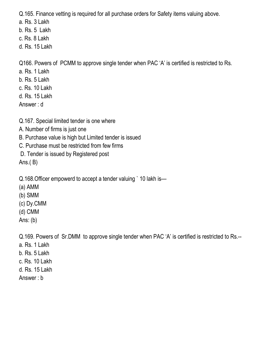Q.165. Finance vetting is required for all purchase orders for Safety items valuing above.

- a. Rs. 3 Lakh
- b. Rs. 5 Lakh
- c. Rs. 8 Lakh
- d. Rs. 15 Lakh

Q166. Powers of PCMM to approve single tender when PAC 'A' is certified is restricted to Rs.

- a. Rs. 1 Lakh
- b. Rs. 5 Lakh
- c. Rs. 10 Lakh
- d. Rs. 15 Lakh
- Answer : d
- Q.167. Special limited tender is one where
- A. Number of firms is just one
- B. Purchase value is high but Limited tender is issued
- C. Purchase must be restricted from few firms
- D. Tender is issued by Registered post

Ans.( B)

- Q.168.Officer empowerd to accept a tender valuing ` 10 lakh is—
- (a) AMM
- (b) SMM
- (c) Dy.CMM
- (d) CMM
- Ans: (b)

Q.169. Powers of Sr.DMM to approve single tender when PAC 'A' is certified is restricted to Rs.--

- a. Rs. 1 Lakh
- b. Rs. 5 Lakh
- c. Rs. 10 Lakh
- d. Rs. 15 Lakh
- Answer : b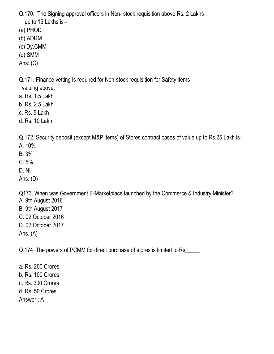Q.170. The Signing approval officers in Non- stock requisition above Rs. 2 Lakhs up to 15 Lakhs is--

- (a) PHOD
- (b) ADRM
- (c) Dy.CMM
- (d) SMM
- Ans: (C)

Q.171. Finance vetting is required for Non-stock requisition for Safety items

- valuing above.
- a. Rs. 1.5 Lakh
- b. Rs. 2.5 Lakh
- c. Rs. 5 Lakh
- d. Rs. 10 Lakh

Q.172. Security deposit (except M&P items) of Stores contract cases of value up to Rs.25 Lakh is-

- A. 10%
- B. 3%
- C. 5%
- D. Nil
- Ans. (D)

Q173. When was Government E-Marketplace launched by the Commerce & Industry Minister?

- A. 9th August 2016
- B. 9th August 2017
- C. 02 October 2016
- D. 02 October 2017
- Ans. (A)

Q.174. The powers of PCMM for direct purchase of stores is limited to Rs\_\_\_\_\_

a. Rs. 200 Crores b. Rs. 100 Crores c. Rs. 300 Crores d. Rs. 50 Crores Answer : A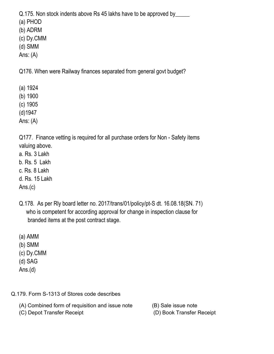Q.175. Non stock indents above Rs 45 lakhs have to be approved by\_\_\_\_\_\_

(a) PHOD

(b) ADRM

(c) Dy.CMM

(d) SMM

Ans: (A)

Q176. When were Railway finances separated from general govt budget?

- (a) 1924
- (b) 1900

(c) 1905

(d)1947

Ans: (A)

Q177. Finance vetting is required for all purchase orders for Non - Safety items valuing above.

- a. Rs. 3 Lakh
- b. Rs. 5 Lakh
- c. Rs. 8 Lakh

d. Rs. 15 Lakh

Ans.(c)

- Q.178. As per Rly board letter no. 2017/trans/01/policy/pt-S dt. 16.08.18(SN. 71) who is competent for according approval for change in inspection clause for branded items at the post contract stage.
- (a) AMM
- (b) SMM
- (c) Dy.CMM
- (d) SAG
- Ans.(d)

Q.179. Form S-1313 of Stores code describes

- (A) Combined form of requisition and issue note (B) Sale issue note
- (C) Depot Transfer Receipt (D) Book Transfer Receipt
- -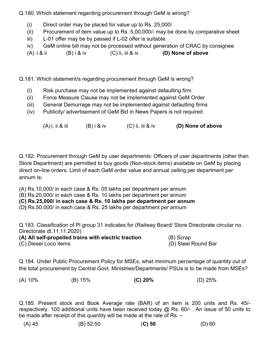Q.180. Which statement regarding procurement through GeM is wrong?

- (i) Direct order may be placed for value up to Rs. 25,000/
- (ii) Procurement of item value up to Rs. 5,00,000/- may be done by comparative sheet
- iii) L-01 offer may be by passed if L-02 offer is suitable.
- iv) GeM online bill may not be processed without generation of CRAC by consignee
- (A)  $i \ⅈ$  (B)  $i \&iv$  (C) ii, iii & iv (D) None of above

Q.181. Which statement/s regarding procurement through GeM is wrong?

- (i) Risk purchase may not be implemented against defaulting firm
- (ii) Force Measure Clause may not be implemented against GeM Order
- (iii) General Demurrage may not be implemented against defaulting firms
- (iv) Publicity/ advertisement of GeM Bid in News Papers is not required

 $(A)$ i, ii & iii  $(B)$ i & iv  $(C)$  ii, iii & iv  $(D)$  None of above

Q.182. Procurement through GeM by user departments: Officers of user departments (other than Store Department) are permitted to buy goods (Non-stock items) available on GeM by placing direct on-line orders. Limit of each GeM order value and annual ceiling per department per annum is:

(A) Rs.10,000/ in each case & Rs. 05 lakhs per department per annum

(B) Rs.20,000/ in each case & Rs. 10 lakhs per department per annum

(C) Rs.25,000/ in each case & Rs. 10 lakhs per department per annum

(D) Rs.50,000/ in each case & Rs. 25 lakhs per department per annum

Q.183. Classification of Pl group 31 indicates for (Railway Board/ Store Directorate circular no. Directorate dt.11.11.2020)

(A) All self-propelled trains with electric traction (B) Scrap (C) Diesel Loco items (D) Steel Round Bar

Q.184. Under Public Procurement Policy for MSEs, what minimum percentage of quantity out of the total procurement by Central Govt. Ministries/Departments/ PSUs is to be made from MSEs?

(A) 10% (B) 15% (C) 20% (D) 25%

Q.185. Present stock and Book Average rate (BAR) of an item is 200 units and Rs. 45/ respectively. 100 additional units have been received today @ Rs. 60/-. An issue of 50 units to be made after receipt of this quantity will be made at the rate of Rs. –

|  | (A) 45 | (B) 52.50 | $(C)$ 50 | $(D)$ 60 |
|--|--------|-----------|----------|----------|
|--|--------|-----------|----------|----------|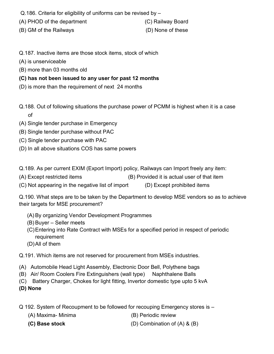- Q.186. Criteria for eligibility of uniforms can be revised by –
- (A) PHOD of the department (C) Railway Board
- (B) GM of the Railways (D) None of these

- 
- Q.187. Inactive items are those stock items, stock of which
- (A) is unserviceable
- (B) more than 03 months old
- (C) has not been issued to any user for past 12 months
- (D) is more than the requirement of next 24 months
- Q.188. Out of following situations the purchase power of PCMM is highest when it is a case of
- (A) Single tender purchase in Emergency
- (B) Single tender purchase without PAC
- (C) Single tender purchase with PAC
- (D) In all above situations COS has same powers

Q.189. As per current EXIM (Export Import) policy, Railways can Import freely any item:

- (A) Except restricted items (B) Provided it is actual user of that item
- (C) Not appearing in the negative list of import (D) Except prohibited items

Q.190. What steps are to be taken by the Department to develop MSE vendors so as to achieve their targets for MSE procurement?

- (A) By organizing Vendor Development Programmes
- (B) Buyer Seller meets
- (C) Entering into Rate Contract with MSEs for a specified period in respect of periodic requirement
- (D) All of them

Q.191. Which items are not reserved for procurement from MSEs industries.

- (A) Automobile Head Light Assembly, Electronic Door Bell, Polythene bags
- (B) Air/ Room Coolers Fire Extinguishers (wall type) Naphthalene Balls
- (C) Battery Charger, Chokes for light fitting, Invertor domestic type upto 5 kvA

(D) None

- Q 192. System of Recoupment to be followed for recouping Emergency stores is
	- (A) Maxima- Minima (B) Periodic review
		-

(C) Base stock (D) Combination of (A) & (B)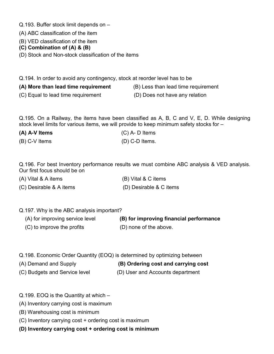- Q.193. Buffer stock limit depends on –
- (A) ABC classification of the item
- (B) VED classification of the item
- (C) Combination of (A) & (B)
- (D) Stock and Non-stock classification of the items

Q.194. In order to avoid any contingency, stock at reorder level has to be

- (A) More than lead time requirement (B) Less than lead time requirement
- 
- (C) Equal to lead time requirement (D) Does not have any relation
- 

Q.195. On a Railway, the items have been classified as A, B, C and V, E, D. While designing stock level limits for various items, we will provide to keep minimum safety stocks for –

- 
- (A) A-V Items (C) A- D Items (B) C-V Items (D) C-D Items.

Q.196. For best Inventory performance results we must combine ABC analysis & VED analysis. Our first focus should be on

- (A) Vital & A items (B) Vital & C items (C) Desirable & A items (D) Desirable & C items
- Q.197. Why is the ABC analysis important?

| (A) for improving service level | (B) for improving financial performance |
|---------------------------------|-----------------------------------------|
| (C) to improve the profits      | (D) none of the above.                  |

- Q.198. Economic Order Quantity (EOQ) is determined by optimizing between
- (A) Demand and Supply (B) Ordering cost and carrying cost
- (C) Budgets and Service level (D) User and Accounts department
- Q.199. EOQ is the Quantity at which –
- (A) Inventory carrying cost is maximum
- (B) Warehousing cost is minimum
- (C) Inventory carrying cost + ordering cost is maximum
- (D) Inventory carrying cost + ordering cost is minimum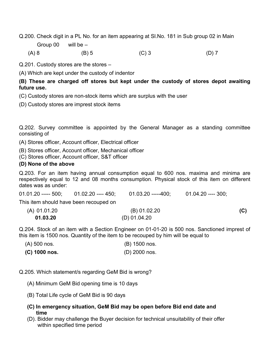Q.200. Check digit in a PL No. for an item appearing at Sl.No. 181 in Sub group 02 in Main

Group 00 will be –

(A) 8 (B) 5 (C) 3 (D) 7

Q.201. Custody stores are the stores –

(A) Which are kept under the custody of indentor

#### (B) These are charged off stores but kept under the custody of stores depot awaiting future use.

- (C) Custody stores are non-stock items which are surplus with the user
- (D) Custody stores are imprest stock items

Q.202. Survey committee is appointed by the General Manager as a standing committee consisting of

(A) Stores officer, Account officer, Electrical officer

(B) Stores officer, Account officer, Mechanical officer

(C) Stores officer, Account officer, S&T officer

#### (D) None of the above

Q.203. For an item having annual consumption equal to 600 nos. maxima and minima are respectively equal to 12 and 08 months consumption. Physical stock of this item on different dates was as under:

| $01.01.20$ ----- $500$ ; $01.02.20$ ---- $450$ ; | 01.03.20 -----400: | 01.04.20 ---- 300: |     |
|--------------------------------------------------|--------------------|--------------------|-----|
| This item should have been recouped on           |                    |                    |     |
| (A) 01.01.20                                     | (B) 01.02.20       |                    | (C) |
| 01.03.20                                         | $(D)$ 01.04.20     |                    |     |

Q.204. Stock of an item with a Section Engineer on 01-01-20 is 500 nos. Sanctioned imprest of this item is 1500 nos. Quantity of the item to be recouped by him will be equal to

| $(A)$ 500 nos.  | (B) 1500 nos. |
|-----------------|---------------|
| $(C)$ 1000 nos. | (D) 2000 nos. |

Q.205. Which statement/s regarding GeM Bid is wrong?

- (A) Minimum GeM Bid opening time is 10 days
- (B) Total Life cycle of GeM Bid is 90 days
- (C) In emergency situation, GeM Bid may be open before Bid end date and time
- (D). Bidder may challenge the Buyer decision for technical unsuitability of their offer within specified time period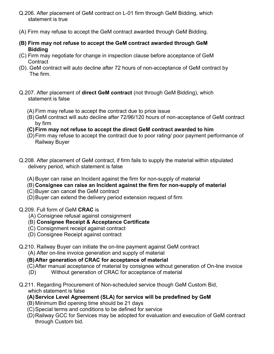- Q.206. After placement of GeM contract on L-01 firm through GeM Bidding, which statement is true
- (A) Firm may refuse to accept the GeM contract awarded through GeM Bidding.
- (B) Firm may not refuse to accept the GeM contract awarded through GeM Bidding
- (C) Firm may negotiate for change in inspection clause before acceptance of GeM **Contract**
- (D). GeM contract will auto decline after 72 hours of non-acceptance of GeM contract by The firm.
- Q.207. After placement of direct GeM contract (not through GeM Bidding), which statement is false
	- (A) Firm may refuse to accept the contract due to price issue
	- (B) GeM contract will auto decline after 72/96/120 hours of non-acceptance of GeM contract by firm
	- (C) Firm may not refuse to accept the direct GeM contract awarded to him
	- (D) Firm may refuse to accept the contract due to poor rating/ poor payment performance of Railway Buyer
- Q.208. After placement of GeM contract, if firm fails to supply the material within stipulated delivery period, which statement is false
	- (A) Buyer can raise an Incident against the firm for non-supply of material
	- (B) Consignee can raise an Incident against the firm for non-supply of material
	- (C) Buyer can cancel the GeM contract
	- (D) Buyer can extend the delivery period extension request of firm
- Q.209. Full form of GeM CRAC is
	- (A) Consignee refusal against consignment
	- (B) Consignee Receipt & Acceptance Certificate
	- (C) Consignment receipt against contract
	- (D) Consignee Receipt against contract

#### Q.210. Railway Buyer can initiate the on-line payment against GeM contract

(A) After on-line invoice generation and supply of material

#### (B) After generation of CRAC for acceptance of material

- (C) After manual acceptance of material by consignee without generation of On-line invoice
- (D) Without generation of CRAC for acceptance of material
- Q.211. Regarding Procurement of Non-scheduled service though GeM Custom Bid, which statement is false
	- (A) Service Level Agreement (SLA) for service will be predefined by GeM
	- (B) Minimum Bid opening time should be 21 days
	- (C) Special terms and conditions to be defined for service
	- (D) Railway GCC for Services may be adopted for evaluation and execution of GeM contract through Custom bid.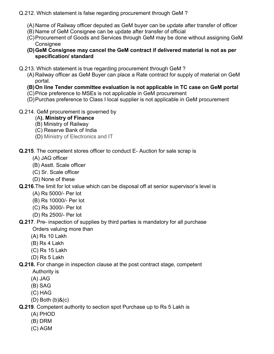#### Q.212. Which statement is false regarding procurement through GeM ?

- (A) Name of Railway officer deputed as GeM buyer can be update after transfer of officer
- (B) Name of GeM Consignee can be update after transfer of official
- (C) Procurement of Goods and Services through GeM may be done without assigning GeM **Consignee**
- (D) GeM Consignee may cancel the GeM contract if delivered material is not as per specification/ standard
- Q.213. Which statement is true regarding procurement through GeM ?
	- (A) Railway officer as GeM Buyer can place a Rate contract for supply of material on GeM portal.
	- (B) On line Tender committee evaluation is not applicable in TC case on GeM portal
	- (C) Price preference to MSEs is not applicable in GeM procurement
	- (D) Purchas preference to Class I local supplier is not applicable in GeM procurement
- Q.214. GeM procurement is governed by
	- (A). Ministry of Finance
	- (B) Ministry of Railway
	- (C) Reserve Bank of India
	- (D) Ministry of Electronics and IT

Q.215. The competent stores officer to conduct E- Auction for sale scrap is

- (A) JAG officer
- (B) Asstt. Scale officer
- (C) Sr. Scale officer
- (D) None of these

Q.216.The limit for lot value which can be disposal off at senior supervisor's level is

- (A) Rs 5000/- Per lot
- (B) Rs 10000/- Per lot
- (C) Rs 3000/- Per lot
- (D) Rs 2500/- Per lot
- Q.217. Pre- inspection of supplies by third parties is mandatory for all purchase Orders valuing more than
	- (A) Rs 10 Lakh
	- (B) Rs 4 Lakh
	- (C) Rs 15 Lakh
	- (D) Rs 5 Lakh

#### Q.218. For change in inspection clause at the post contract stage, competent

- Authority is
- (A) JAG
- (B) SAG
- (C) HAG
- (D) Both (b)&(c)

Q.219. Competent authority to section spot Purchase up to Rs 5 Lakh is

- (A) PHOD
- (B) DRM
- (C) AGM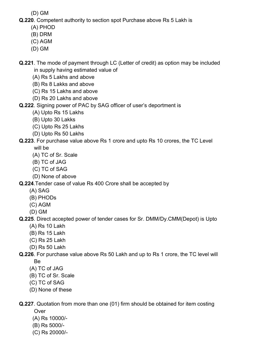(D) GM

Q.220. Competent authority to section spot Purchase above Rs 5 Lakh is

- (A) PHOD
- (B) DRM
- (C) AGM
- (D) GM

Q.221. The mode of payment through LC (Letter of credit) as option may be included in supply having estimated value of

- (A) Rs 5 Lakhs and above
- (B) Rs 8 Lakks and above
- (C) Rs 15 Lakhs and above
- (D) Rs 20 Lakhs and above
- Q.222. Signing power of PAC by SAG officer of user's deportment is
	- (A) Upto Rs 15 Lakhs
	- (B) Upto 30 Lakks
	- (C) Upto Rs 25 Lakhs
	- (D) Upto Rs 50 Lakhs

### Q.223. For purchase value above Rs 1 crore and upto Rs 10 crores, the TC Level

will be

- (A) TC of Sr. Scale
- (B) TC of JAG
- (C) TC of SAG
- (D) None of above

Q.224.Tender case of value Rs 400 Crore shall be accepted by

- (A) SAG
- (B) PHODs
- (C) AGM
- (D) GM

## Q.225. Direct accepted power of tender cases for Sr. DMM/Dy.CMM(Depot) is Upto

- (A) Rs 10 Lakh
- (B) Rs 15 Lakh
- (C) Rs 25 Lakh
- (D) Rs 50 Lakh

#### Q.226. For purchase value above Rs 50 Lakh and up to Rs 1 crore, the TC level will Be

- (A) TC of JAG
- (B) TC of Sr. Scale
- (C) TC of SAG
- (D) None of these

Q.227. Quotation from more than one (01) firm should be obtained for item costing

**Over** 

- (A) Rs 10000/-
- (B) Rs 5000/-
- (C) Rs 20000/-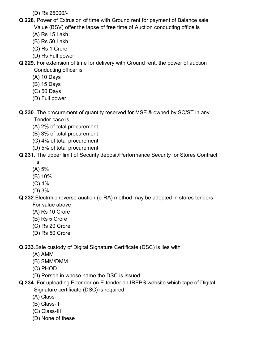(D) Rs 25000/-

- Q.228. Power of Extrusion of time with Ground rent for payment of Balance sale Value (BSV) offer the lapse of free time of Auction conducting office is
	- (A) Rs 15 Lakh
	- (B) Rs 50 Lakh
	- (C) Rs 1 Crore
	- (D) Rs Full power

Q.229. For extension of time for delivery with Ground rent, the power of auction Conducting officer is

- (A) 10 Days
- (B) 15 Days
- (C) 50 Days
- (D) Full power

Q.230. The procurement of quantity reserved for MSE & owned by SC/ST in any Tender case is

- (A) 2% of total procurement
- (B) 3% of total procurement
- (C) 4% of total procurement
- (D) 5% of total procurement

#### Q.231. The upper limit of Security deposit/Performance Security for Stores Contract

- is
- (A) 5%
- (B) 10%
- (C) 4%
- (D) 3%

#### Q.232.Electrmic reverse auction (e-RA) method may be adopted in stores tenders

- For value above
- (A) Rs 10 Crore
- (B) Rs 5 Crore
- (C) Rs 20 Crore
- (D) Rs 50 Crore

Q.233.Sale custody of Digital Signature Certificate (DSC) is lies with

- (A) AMM
- (B) SMM/DMM
- (C) PHOD
- (D) Person in whose name the DSC is issued
- Q.234. For uploading E-tender on E-tender on IREPS website which tape of Digital Signature certificate (DSC) is required
	- (A) Class-I
	- (B) Class-II
	- (C) Class-III
	- (D) None of these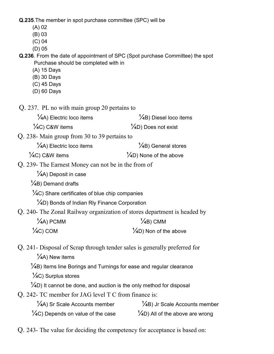Q.235.The member in spot purchase committee (SPC) will be

- (A) 02
- (B) 03
- (C) 04
- (D) 05

Q.236. From the date of appointment of SPC (Spot purchase Committee) the spot Purchase should be completed with in

- (A) 15 Days
- (B) 30 Days
- (C) 45 Days
- (D) 60 Days

Q. 237. PL no with main group 20 pertains to

 $\frac{1}{4}$ A) Electric loco items  $\frac{1}{4}$ B) Diesel loco items

 $\frac{1}{4}$ C) C&W items  $\frac{1}{4}$ D) Does not exist

Q. 238- Main group from 30 to 39 pertains to

 $\frac{1}{4}$ A) Electric loco items  $\frac{1}{4}$ B) General stores

- $\frac{1}{4}$ C) C&W items  $\frac{1}{4}$ D) None of the above
- Q. 239- The Earnest Money can not be in the from of
	- $\frac{1}{4}$ A) Deposit in case
	- $\frac{1}{4}$ B) Demand drafts

 $\frac{1}{4}$ C) Share certificates of blue chip companies

<sup>1</sup>/<sub>4</sub>D) Bonds of Indian Rly Finance Corporation

Q. 240- The Zonal Railway organization of stores department is headed by

| $\frac{1}{4}$ A) PCMM | $\frac{1}{4}$ B) CMM              |
|-----------------------|-----------------------------------|
| $\frac{1}{2}$ C) COM  | $\frac{1}{4}$ D) Non of the above |

Q. 241- Disposal of Scrap through tender sales is generally preferred for

 $\frac{1}{4}$ A) New items

 $\frac{1}{4}$ B) Items line Borings and Turnings for ease and regular clearance

 $\frac{1}{4}$ C) Surplus stores

 $\frac{1}{4}$ D) It cannot be done, and auction is the only method for disposal

Q. 242- TC member for JAG level T C from finance is:

| $\frac{1}{4}$ A) Sr Scale Accounts member     | $\frac{1}{4}$ B) Jr Scale Accounts member   |
|-----------------------------------------------|---------------------------------------------|
| $\frac{1}{4}C$ ) Depends on value of the case | $\frac{1}{4}$ D) All of the above are wrong |

Q. 243- The value for deciding the competency for acceptance is based on: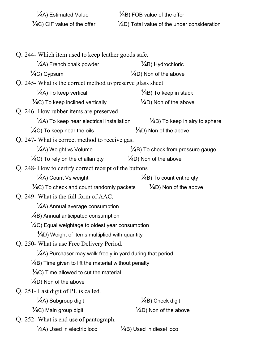| $\frac{1}{4}$ A) Estimated Value        | $\frac{1}{4}$ B) FOB value of the offer                 |
|-----------------------------------------|---------------------------------------------------------|
| $\frac{1}{4}$ C) CIF value of the offer | $\frac{1}{4}$ D) Total value of the under consideration |

| Q. 244- Which item used to keep leather goods safe.              |                                               |
|------------------------------------------------------------------|-----------------------------------------------|
| $\frac{1}{4}$ A) French chalk powder                             | $\frac{1}{4}$ B) Hydrochloric                 |
| $\frac{1}{4}C$ ) Gypsum                                          | $\frac{1}{4}$ D) Non of the above             |
| Q. 245- What is the correct method to preserve glass sheet       |                                               |
| $\frac{1}{4}$ A) To keep vertical                                | $\frac{1}{4}$ B) To keep in stack             |
| $\frac{1}{4}C$ ) To keep inclined vertically                     | $\frac{1}{4}$ D) Non of the above             |
| Q. 246- How rubber items are preserved                           |                                               |
| $\frac{1}{4}$ A) To keep near electrical installation            | $\frac{1}{4}$ B) To keep in airy to sphere    |
| $\frac{1}{4}$ C) To keep near the oils                           | $\frac{1}{4}$ D) Non of the above             |
| Q. 247- What is correct method to receive gas.                   |                                               |
| $\frac{1}{4}$ A) Weight vs Volume                                | $\frac{1}{4}$ B) To check from pressure gauge |
| $\frac{1}{4}$ C) To rely on the challan qty                      | $\frac{1}{4}$ D) Non of the above             |
| Q. 248- How to certify correct receipt of the buttons            |                                               |
| $\frac{1}{4}$ A) Count Vs weight                                 | $\frac{1}{4}$ B) To count entire qty          |
| $\frac{1}{4}$ C) To check and count randomly packets             | $\frac{1}{4}$ D) Non of the above             |
| Q. 249- What is the full form of AAC.                            |                                               |
| $\frac{1}{4}$ A) Annual average consumption                      |                                               |
| $\frac{1}{4}$ B) Annual anticipated consumption                  |                                               |
| $\frac{1}{4}$ C) Equal weightage to oldest year consumption      |                                               |
| $\frac{1}{4}$ D) Weight of items multiplied with quantity        |                                               |
| Q. 250- What is use Free Delivery Period.                        |                                               |
| 1/4A) Purchaser may walk freely in yard during that period       |                                               |
| $\frac{1}{4}$ B) Time given to lift the material without penalty |                                               |
| $\frac{1}{4}$ C) Time allowed to cut the material                |                                               |
| $\frac{1}{4}$ D) Non of the above                                |                                               |
| Q. 251 - Last digit of PL is called.                             |                                               |
| 1/4A) Subgroup digit                                             | $\frac{1}{4}$ B) Check digit                  |
| $\frac{1}{4}C$ ) Main group digit                                | $\frac{1}{4}$ D) Non of the above             |
| Q. 252- What is end use of pantograph.                           |                                               |
| $\frac{1}{4}$ A) Used in electric loco                           | $\frac{1}{4}$ B) Used in diesel loco          |
|                                                                  |                                               |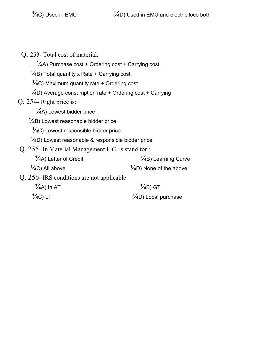Q. 253- Total cost of material:

 $\frac{1}{4}$ A) Purchase cost + Ordering cost + Carrying cost

 $\frac{1}{4}$ B) Total quantity x Rate + Carrying cost.

 $\frac{1}{4}$ C) Maximum quantity rate + Ordering cost

- $\frac{1}{4}$ D) Average consumption rate + Ordering cost + Carrying
- Q. 254- Right price is:

 $\frac{1}{4}$ A) Lowest bidder price

 $\frac{1}{4}$ B) Lowest reasonable bidder price

¼C) Lowest responsible bidder price

 $\frac{1}{4}$ D) Lowest reasonable & responsible bidder price.

Q. 255- In Material Management L.C. is stand for :

| $\frac{1}{4}$ A) Letter of Credit        | $\frac{1}{4}$ B) Learning Curve    |
|------------------------------------------|------------------------------------|
| $\frac{1}{4}$ C) All above               | $\frac{1}{4}$ D) None of the above |
| Q. 256-IRS conditions are not applicable |                                    |
| $\frac{1}{4}$ A) In AT                   | $\frac{1}{4}$ B) GT                |
| $\frac{1}{2}$ C) LT                      | $\frac{1}{4}$ D) Local purchase    |